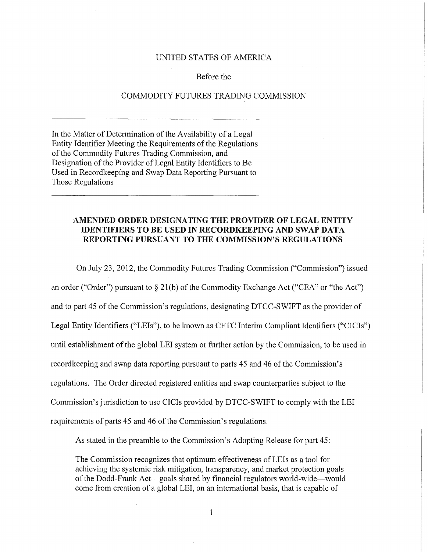## UNITED STATES OF AMERICA

## Before the

## COMMODITY FUTURES TRADING COMMISSION

In the Matter of Determination of the Availability of a Legal Entity Identifier Meeting the Requirements of the Regulations of the Commodity Futures Trading Commission, and Designation of the Provider of Legal Entity Identifiers to Be Used in Recordkeeping and Swap Data Reporting Pursuant to Those Regulations

## AMENDED ORDER DESIGNATING THE PROVIDER OF LEGAL ENTITY IDENTIFIERS TO BE USED IN RECORDKEEPING AND SWAP DATA REPORTING PURSUANT TO **THE** COMMISSION'S REGULATIONS

On July 23, 2012, the Commodity Futures Trading Commission ("Commission") issued an order ("Order") pursuant to  $\S 21(b)$  of the Commodity Exchange Act ("CEA" or "the Act") and to part 45 of the Commission's regulations, designating DTCC-SWIFT as the provider of Legal Entity Identifiers ("LEIs"), to be known as CFTC Interim Compliant Identifiers ("CICIs") until establishment of the global LEI system or further action by the Commission, to be used in recordkeeping and swap data reporting pursuant to parts 45 and 46 of the Commission's regulations. The Order directed registered entities and swap counterparties subject to the Commission's jurisdiction to use CICis provided by DTCC-SWIFT to comply with the LEI requirements of parts 45 and 46 of the Commission's regulations.

As stated in the preamble to the Commission's Adopting Release for part 45:

The Commission recognizes that optimum effectiveness of LEis as a tool for achieving the systemic risk mitigation, transparency, and market protection goals of the Dodd-Frank Act-goals shared by financial regulators world-wide-would come from creation of a global LEI, on an international basis, that is capable of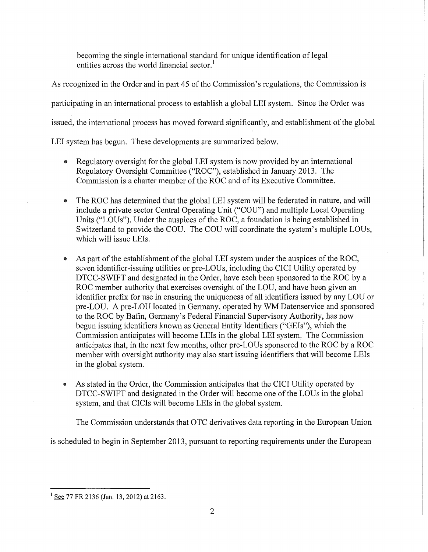becoming the single international standard for unique identification of legal entities across the world financial sector.<sup>1</sup>

As recognized in the Order and in part 45 of the Commission's regulations, the Commission is participating in an international process to establish a global LEI system. Since the Order was issued, the international process has moved forward significantly, and establishment of the global LEI system has begun. These developments are summarized below.

- Regulatory oversight for the global LEI system is now provided by an international Regulatory Oversight Committee ("ROC"), established in January 2013. The Commission is a charter member of the ROC and of its Executive Committee.
- The ROC has determined that the global LEI system will be federated in nature, and will include a private sector Central Operating Unit ("COU") and multiple Local Operating Units ("LOUs"). Under the auspices of the ROC, a foundation is being established in Switzerland to provide the COU. The COU will coordinate the system's multiple LOUs, which will issue LEis.
- As part of the establishment of the global LEI system under the auspices of the ROC, seven identifier-issuing utilities or pre-LOUs, including the CICI Utility operated by DTCC-SWIFT and designated in the Order, have each been sponsored to the ROC by a ROC member authority that exercises oversight of the LOU, and have been given an identifier prefix for use in ensuring the uniqueness of all identifiers issued by any LOU or pre-LOU. A pre-LOU located in Germany, operated by WM Datenservice and sponsored to the ROC by Bafin, Germany's Federal Financial Supervisory Authority, has now begun issuing identifiers known as General Entity Identifiers ("GEls"), which the Commission anticipates will become LEis in the global LEI system. The Commission anticipates that, in the next few months, other pre-LOUs sponsored to the ROC by a ROC member with oversight authority may also start issuing identifiers that will become LEis in the global system.
- As stated in the Order, the Commission anticipates that the CICI Utility operated by DTCC-SWIFT and designated in the Order will become one of the LOUs in the global system, and that CICis will become LEis in the global system.

The Commission understands that OTC derivatives data reporting in the European Union

is scheduled to begin in September 2013, pursuant to reporting requirements under the European

<sup>&</sup>lt;sup>1</sup> See 77 FR 2136 (Jan. 13, 2012) at 2163.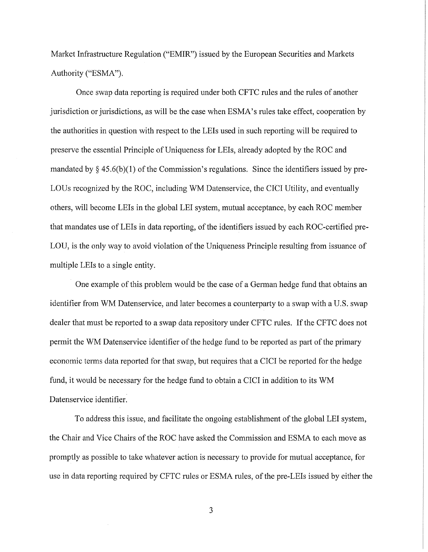Market Infrastructure Regulation ("EMIR") issued by the European Securities and Markets Authority ("ESMA").

Once swap data reporting is required under both CFTC rules and the rules of another jurisdiction or jurisdictions, as will be the case when ESMA's rules take effect, cooperation by the authorities in question with respect to the LEis used in such reporting will be required to preserve the essential Principle of Uniqueness for LEis, already adopted by the ROC and mandated by  $\S$  45.6(b)(1) of the Commission's regulations. Since the identifiers issued by pre-LOUs recognized by the ROC, including WM Datenservice, the CICI Utility, and eventually others, will become LEis in the global LEI system, mutual acceptance, by each ROC member that mandates use of LEis in data reporting, of the identifiers issued by each ROC-certified pre-LOU, is the only way to avoid violation of the Uniqueness Principle resulting from issuance of multiple LEis to a single entity.

One example of this problem would be the case of a German hedge fund that obtains an identifier from WM Datenservice, and later becomes a counterparty to a swap with a U.S. swap dealer that must be reported to a swap data repository under CFTC rules. If the CFTC does not permit the WM Datenservice identifier of the hedge fund to be reported as part of the primary economic terms data reported for that swap, but requires that a CICI be reported for the hedge fund, it would be necessary for the hedge fund to obtain a CICI in addition to its WM Datenservice identifier.

To address this issue, and facilitate the ongoing establishment of the global LEI system, the Chair and Vice Chairs of the ROC have asked the Commission and ESMA to each move as promptly as possible to take whatever action is necessary to provide for mutual acceptance, for use in data reporting required by CFTC rules or ESMA rules, of the pre-LEis issued by either the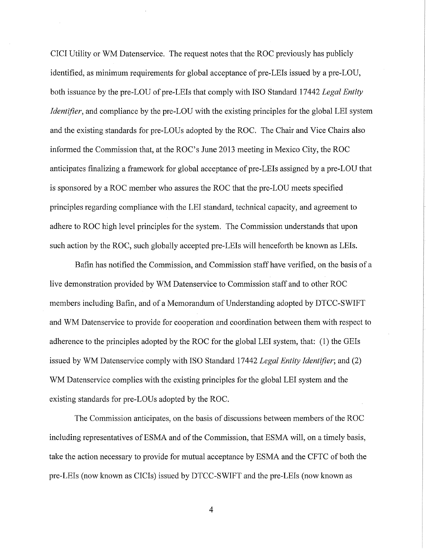CICI Utility or WM Datenservice. The request notes that the ROC previously has publicly identified, as minimum requirements for global acceptance of pre-LEis issued by a pre-LOU, both issuance by the pre-LOU of pre-LEis that comply with ISO Standard 17442 *Legal Entity Identifier*, and compliance by the pre-LOU with the existing principles for the global LEI system and the existing standards for pre-LOUs adopted by the ROC. The Chair and Vice Chairs also informed the Commission that, at the ROC's June 2013 meeting in Mexico City, the ROC anticipates finalizing a framework for global acceptance of pre-LEis assigned by a pre-LOU that is sponsored by a ROC member who assures the ROC that the pre-LOU meets specified principles regarding compliance with the LEI standard, technical capacity, and agreement to adhere to ROC high level principles for the system. The Commission understands that upon such action by the ROC, such globally accepted pre-LEis will henceforth be known as LEis.

Bafin has notified the Commission, and Commission staff have verified, on the basis of a live demonstration provided by WM Datenservice to Commission staff and to other ROC members including Bafin, and of a Memorandum of Understanding adopted by DTCC-SWIFT and WM Datenservice to provide for cooperation and coordination between them with respect to adherence to the principles adopted by the ROC for the global LEI system, that: (1) the GEls issued by WM Datenservice comply with ISO Standard 17442 *Legal Entity Identifier;* and (2) WM Datenservice complies with the existing principles for the global LEI system and the existing standards for pre-LOUs adopted by the ROC.

The Commission anticipates, on the basis of discussions between members of the ROC including representatives of ESMA and of the Commission, that ESMA will, on a timely basis, take the action necessary to provide for mutual acceptance by ESMA and the CFTC of both the pre-LEis (now known as CICis) issued by DTCC-SWIFT and the pre-LEis (now known as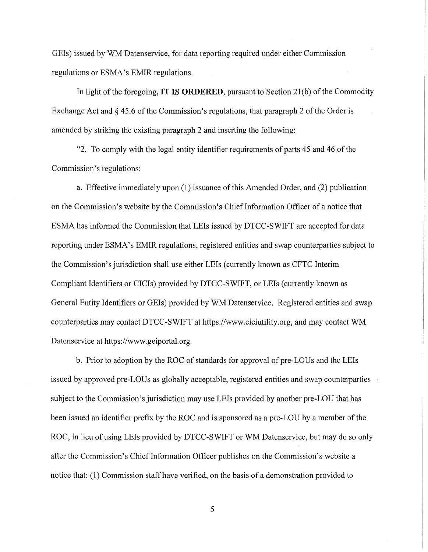GEls) issued by WM Datenservice, for data reporting required under either Commission regulations or ESMA's EMIR regulations.

In light of the foregoing, IT IS ORDERED, pursuant to Section 21(b) of the Commodity Exchange Act and § 45.6 of the Commission's regulations, that paragraph 2 of the Order is amended by striking the existing paragraph 2 and inserting the following:

"2. To comply with the legal entity identifier requirements of parts 45 and 46 of the Commission's regulations:

a. Effective immediately upon (1) issuance of this Amended Order, and (2) publication on the Commission's website by the Commission's Chieflnformation Officer of a notice that ESMA has informed the Commission that LEis issued by DTCC-SWIFT are accepted for data reporting under ESMA's EMIR regulations, registered entities and swap counterparties subject to the Commission's jurisdiction shall use either LEis (currently known as CFTC Interim Compliant Identifiers or CICis) provided by DTCC-SWIFT, or LEis (currently known as General Entity Identifiers or GEls) provided by WM Datenservice. Registered entities and swap counterparties may contact DTCC-SWIFT at https://www.ciciutility.org, and may contact WM Datenservice at https://www.geiportal.org.

b. Prior to adoption by the ROC of standards for approval of pre-LOUs and the LEIs issued by approved pre-LOUs as globally acceptable, registered entities and swap counterparties subject to the Commission's jurisdiction may use LEis provided by another pre-LOU that has been issued an identifier prefix by the ROC and is sponsored as a pre-LOU by a member of the ROC, in lieu of using LEis provided by DTCC-S WIFT or WM Datenservice, but may do so only after the Commission's Chief Information Officer publishes on the Commission's website a notice that: (1) Commission staff have verified, on the basis of a demonstration provided to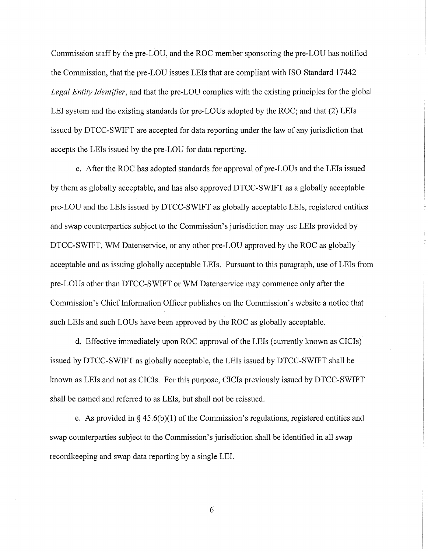Commission staff by the pre-LOU, and the ROC member sponsoring the pre-LOU has notified the Commission, that the pre-LOU issues LEis that are compliant with ISO Standard 17442 *Legal Entity Identifier,* and that the pre-LOU complies with the existing principles for the global LEI system and the existing standards for pre-LOUs adopted by the ROC; and that (2) LEis issued by DTCC-SWIFT are accepted for data reporting under the law of any jurisdiction that accepts the LEis issued by the pre-LOU for data reporting.

c. After the ROC has adopted standards for approval of pre-LOUs and the LEIs issued by them as globally acceptable, and has also approved DTCC-SWIFT as a globally acceptable pre-LOU and the LEis issued by DTCC-SWIFT as globally acceptable LEis, registered entities and swap counterparties subject to the Commission's jurisdiction may use LEis provided by DTCC-SWIFT, WM Datenservice, or any other pre-LOU approved by the ROC as globally acceptable and as issuing globally acceptable LEis. Pursuant to this paragraph, use of LEis from pre-LOUs other than DTCC-SWIFT or WM Datenservice may commence only after the Commission's Chief Information Officer publishes on the Commission's website a notice that such LEis and such LOUs have been approved by the ROC as globally acceptable.

d. Effective immediately upon ROC approval of the LEis (currently known as CICis) issued by DTCC-SWIFT as globally acceptable, the LEis issued by DTCC-SWIFT shall be known as LEis and not as CICis. For this purpose, CICis previously issued by DTCC-SWIFT shall be named and referred to as LEis, but shall not be reissued.

e. As provided in § 45.6(b)(1) of the Commission's regulations, registered entities and swap counterparties subject to the Commission's jurisdiction shall be identified in all swap recordkeeping and swap data reporting by a single LEI.